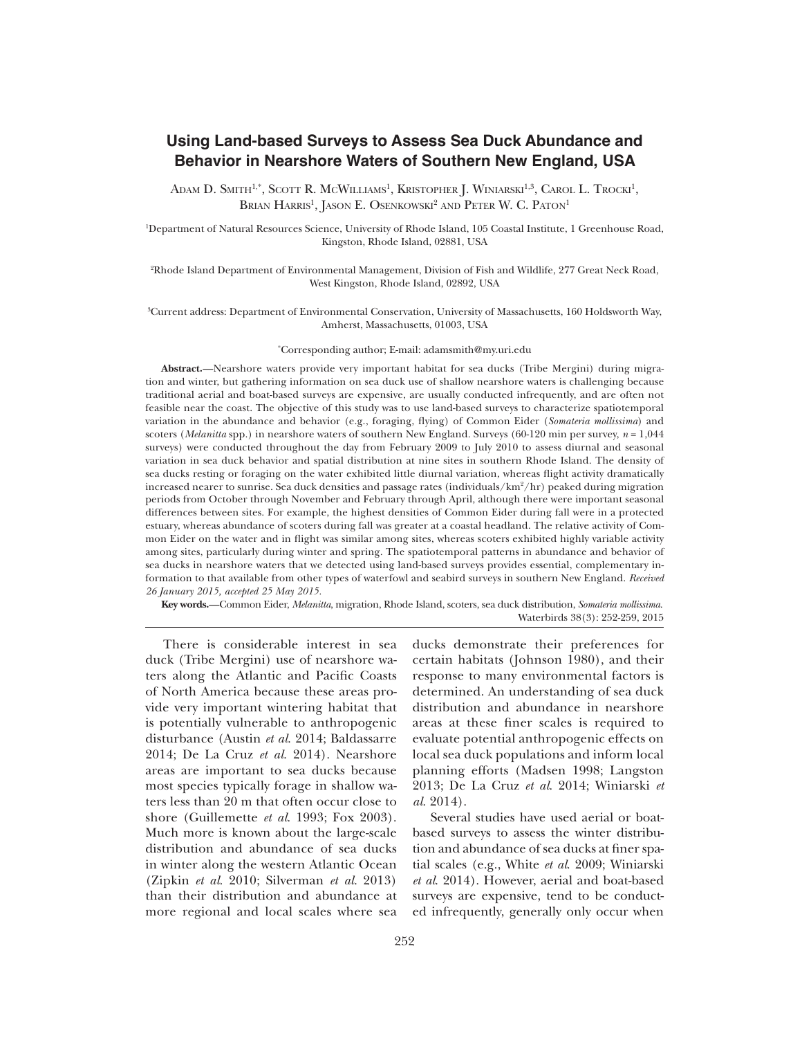# **Using Land-based Surveys to Assess Sea Duck Abundance and Behavior in Nearshore Waters of Southern New England, USA**

Adam D. Smith<sup>1,\*</sup>, Scott R. McWilliams<sup>1</sup>, Kristopher J. Winiarski<sup>1,3</sup>, Carol L. Trocki<sup>1</sup>, Brian Harris<sup>1</sup>, Jason E. Osenkowski<sup>2</sup> and Peter W. C. Paton<sup>1</sup>

<sup>1</sup>Department of Natural Resources Science, University of Rhode Island, 105 Coastal Institute, 1 Greenhouse Road, Kingston, Rhode Island, 02881, USA

<sup>2</sup>Rhode Island Department of Environmental Management, Division of Fish and Wildlife, 277 Great Neck Road, West Kingston, Rhode Island, 02892, USA

<sup>3</sup>Current address: Department of Environmental Conservation, University of Massachusetts, 160 Holdsworth Way, Amherst, Massachusetts, 01003, USA

#### \*Corresponding author; E-mail: adamsmith@my.uri.edu

**Abstract.—**Nearshore waters provide very important habitat for sea ducks (Tribe Mergini) during migration and winter, but gathering information on sea duck use of shallow nearshore waters is challenging because traditional aerial and boat-based surveys are expensive, are usually conducted infrequently, and are often not feasible near the coast. The objective of this study was to use land-based surveys to characterize spatiotemporal variation in the abundance and behavior (e.g., foraging, flying) of Common Eider (*Somateria mollissima*) and scoters (*Melanitta* spp.) in nearshore waters of southern New England. Surveys (60-120 min per survey,  $n = 1,044$ surveys) were conducted throughout the day from February 2009 to July 2010 to assess diurnal and seasonal variation in sea duck behavior and spatial distribution at nine sites in southern Rhode Island. The density of sea ducks resting or foraging on the water exhibited little diurnal variation, whereas flight activity dramatically increased nearer to sunrise. Sea duck densities and passage rates (individuals/ $km^2/hr$ ) peaked during migration periods from October through November and February through April, although there were important seasonal differences between sites. For example, the highest densities of Common Eider during fall were in a protected estuary, whereas abundance of scoters during fall was greater at a coastal headland. The relative activity of Common Eider on the water and in flight was similar among sites, whereas scoters exhibited highly variable activity among sites, particularly during winter and spring. The spatiotemporal patterns in abundance and behavior of sea ducks in nearshore waters that we detected using land-based surveys provides essential, complementary information to that available from other types of waterfowl and seabird surveys in southern New England. *Received 26 January 2015, accepted 25 May 2015.*

**Key words.—**Common Eider, *Melanitta*, migration, Rhode Island, scoters, sea duck distribution, *Somateria mollissima*. Waterbirds 38(3): 252-259, 2015

There is considerable interest in sea duck (Tribe Mergini) use of nearshore waters along the Atlantic and Pacific Coasts of North America because these areas provide very important wintering habitat that is potentially vulnerable to anthropogenic disturbance (Austin *et al*. 2014; Baldassarre 2014; De La Cruz *et al*. 2014). Nearshore areas are important to sea ducks because most species typically forage in shallow waters less than 20 m that often occur close to shore (Guillemette *et al*. 1993; Fox 2003). Much more is known about the large-scale distribution and abundance of sea ducks in winter along the western Atlantic Ocean (Zipkin *et al*. 2010; Silverman *et al*. 2013) than their distribution and abundance at more regional and local scales where sea

ducks demonstrate their preferences for certain habitats (Johnson 1980), and their response to many environmental factors is determined. An understanding of sea duck distribution and abundance in nearshore areas at these finer scales is required to evaluate potential anthropogenic effects on local sea duck populations and inform local planning efforts (Madsen 1998; Langston 2013; De La Cruz *et al*. 2014; Winiarski *et al*. 2014).

Several studies have used aerial or boatbased surveys to assess the winter distribution and abundance of sea ducks at finer spatial scales (e.g., White *et al*. 2009; Winiarski *et al*. 2014). However, aerial and boat-based surveys are expensive, tend to be conducted infrequently, generally only occur when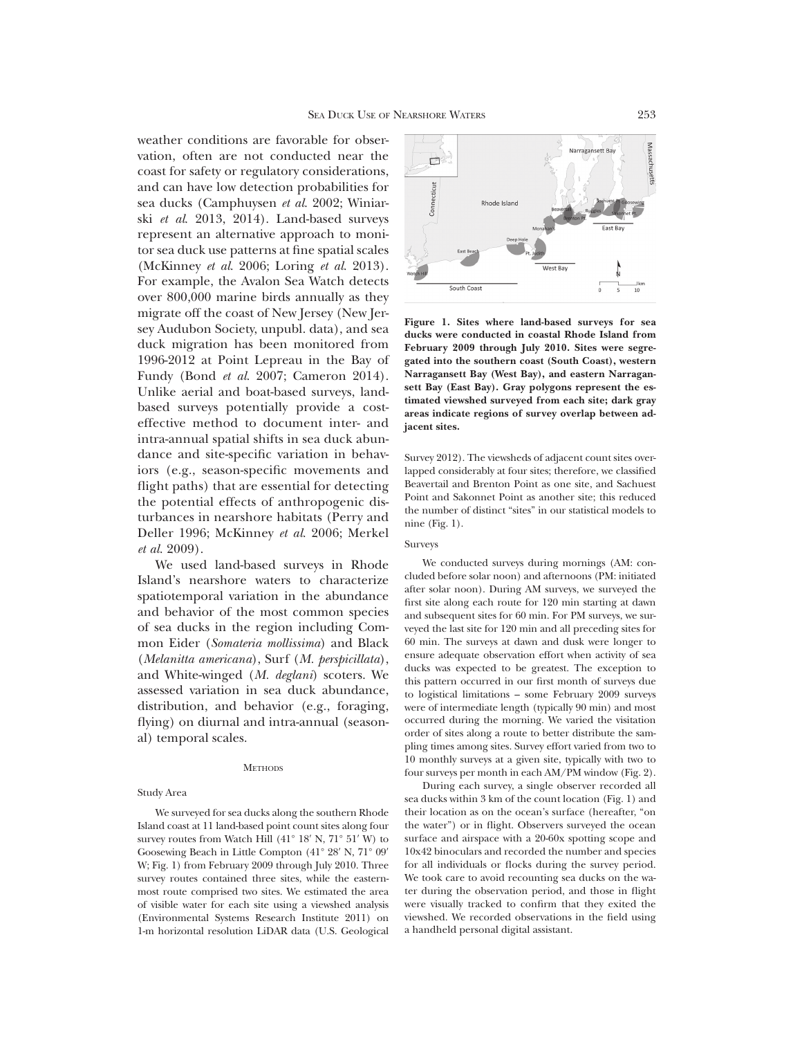weather conditions are favorable for observation, often are not conducted near the coast for safety or regulatory considerations, and can have low detection probabilities for sea ducks (Camphuysen *et al*. 2002; Winiarski *et al*. 2013, 2014). Land-based surveys represent an alternative approach to monitor sea duck use patterns at fine spatial scales (McKinney *et al*. 2006; Loring *et al*. 2013). For example, the Avalon Sea Watch detects over 800,000 marine birds annually as they migrate off the coast of New Jersey (New Jersey Audubon Society, unpubl. data), and sea duck migration has been monitored from 1996-2012 at Point Lepreau in the Bay of Fundy (Bond *et al*. 2007; Cameron 2014). Unlike aerial and boat-based surveys, landbased surveys potentially provide a costeffective method to document inter- and intra-annual spatial shifts in sea duck abundance and site-specific variation in behaviors (e.g., season-specific movements and flight paths) that are essential for detecting the potential effects of anthropogenic disturbances in nearshore habitats (Perry and Deller 1996; McKinney *et al*. 2006; Merkel *et al*. 2009).

We used land-based surveys in Rhode Island's nearshore waters to characterize spatiotemporal variation in the abundance and behavior of the most common species of sea ducks in the region including Common Eider (*Somateria mollissima*) and Black (*Melanitta americana*), Surf (*M. perspicillata*), and White-winged (*M. deglani*) scoters. We assessed variation in sea duck abundance, distribution, and behavior (e.g., foraging, flying) on diurnal and intra-annual (seasonal) temporal scales.

#### **METHODS**

### Study Area

We surveyed for sea ducks along the southern Rhode Island coast at 11 land-based point count sites along four survey routes from Watch Hill  $(41^{\circ} 18' N, 71^{\circ} 51' W)$  to Goosewing Beach in Little Compton  $(41^{\circ} 28' N, 71^{\circ} 09'$ W; Fig. 1) from February 2009 through July 2010. Three survey routes contained three sites, while the easternmost route comprised two sites. We estimated the area of visible water for each site using a viewshed analysis (Environmental Systems Research Institute 2011) on 1-m horizontal resolution LiDAR data (U.S. Geological



**Figure 1. Sites where land-based surveys for sea ducks were conducted in coastal Rhode Island from February 2009 through July 2010. Sites were segregated into the southern coast (South Coast), western Narragansett Bay (West Bay), and eastern Narragansett Bay (East Bay). Gray polygons represent the estimated viewshed surveyed from each site; dark gray areas indicate regions of survey overlap between adjacent sites.**

Survey 2012). The viewsheds of adjacent count sites overlapped considerably at four sites; therefore, we classified Beavertail and Brenton Point as one site, and Sachuest Point and Sakonnet Point as another site; this reduced the number of distinct "sites" in our statistical models to nine (Fig. 1).

### Surveys

We conducted surveys during mornings (AM: concluded before solar noon) and afternoons (PM: initiated after solar noon). During AM surveys, we surveyed the first site along each route for 120 min starting at dawn and subsequent sites for 60 min. For PM surveys, we surveyed the last site for 120 min and all preceding sites for 60 min. The surveys at dawn and dusk were longer to ensure adequate observation effort when activity of sea ducks was expected to be greatest. The exception to this pattern occurred in our first month of surveys due to logistical limitations – some February 2009 surveys were of intermediate length (typically 90 min) and most occurred during the morning. We varied the visitation order of sites along a route to better distribute the sampling times among sites. Survey effort varied from two to 10 monthly surveys at a given site, typically with two to four surveys per month in each AM/PM window (Fig. 2).

During each survey, a single observer recorded all sea ducks within 3 km of the count location (Fig. 1) and their location as on the ocean's surface (hereafter, "on the water") or in flight. Observers surveyed the ocean surface and airspace with a 20-60x spotting scope and 10x42 binoculars and recorded the number and species for all individuals or flocks during the survey period. We took care to avoid recounting sea ducks on the water during the observation period, and those in flight were visually tracked to confirm that they exited the viewshed. We recorded observations in the field using a handheld personal digital assistant.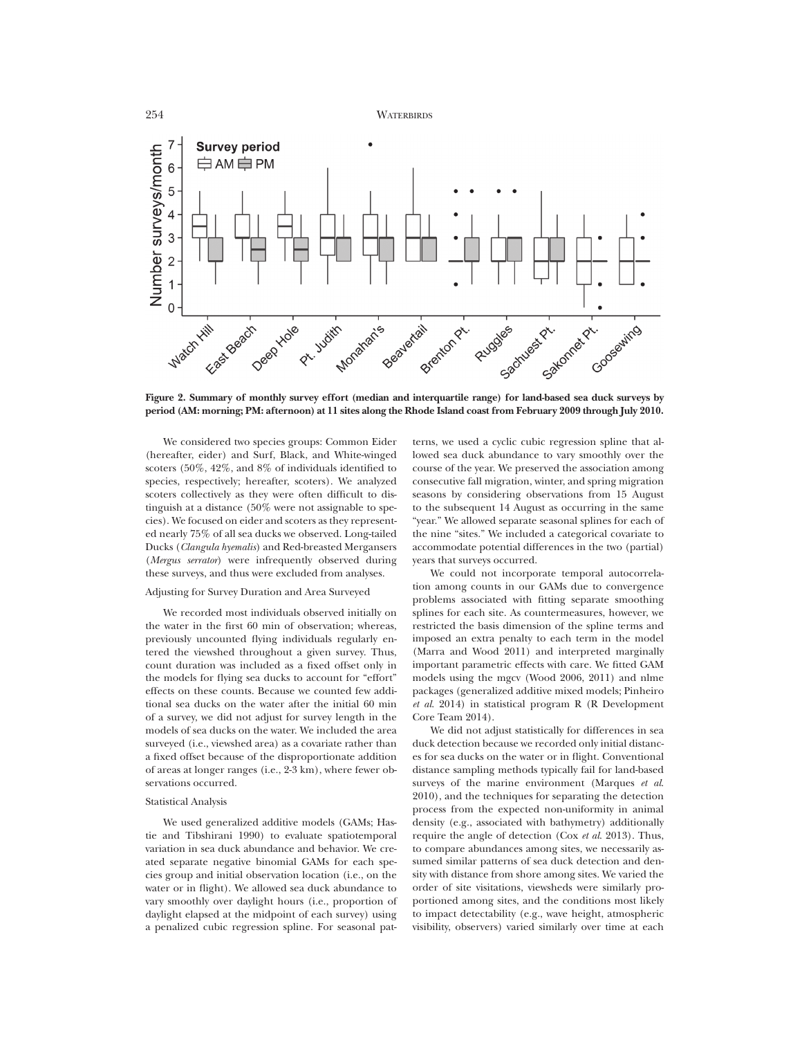

**Figure 2. Summary of monthly survey effort (median and interquartile range) for land-based sea duck surveys by period (AM: morning; PM: afternoon) at 11 sites along the Rhode Island coast from February 2009 through July 2010.**

We considered two species groups: Common Eider (hereafter, eider) and Surf, Black, and White-winged scoters (50%, 42%, and 8% of individuals identified to species, respectively; hereafter, scoters). We analyzed scoters collectively as they were often difficult to distinguish at a distance (50% were not assignable to species). We focused on eider and scoters as they represented nearly 75% of all sea ducks we observed. Long-tailed Ducks (*Clangula hyemalis*) and Red-breasted Mergansers (*Mergus serrator*) were infrequently observed during these surveys, and thus were excluded from analyses.

## Adjusting for Survey Duration and Area Surveyed

We recorded most individuals observed initially on the water in the first 60 min of observation; whereas, previously uncounted flying individuals regularly entered the viewshed throughout a given survey. Thus, count duration was included as a fixed offset only in the models for flying sea ducks to account for "effort" effects on these counts. Because we counted few additional sea ducks on the water after the initial 60 min of a survey, we did not adjust for survey length in the models of sea ducks on the water. We included the area surveyed (i.e., viewshed area) as a covariate rather than a fixed offset because of the disproportionate addition of areas at longer ranges (i.e., 2-3 km), where fewer observations occurred.

#### Statistical Analysis

We used generalized additive models (GAMs; Hastie and Tibshirani 1990) to evaluate spatiotemporal variation in sea duck abundance and behavior. We created separate negative binomial GAMs for each species group and initial observation location (i.e., on the water or in flight). We allowed sea duck abundance to vary smoothly over daylight hours (i.e., proportion of daylight elapsed at the midpoint of each survey) using a penalized cubic regression spline. For seasonal patterns, we used a cyclic cubic regression spline that allowed sea duck abundance to vary smoothly over the course of the year. We preserved the association among consecutive fall migration, winter, and spring migration seasons by considering observations from 15 August to the subsequent 14 August as occurring in the same "year." We allowed separate seasonal splines for each of the nine "sites." We included a categorical covariate to accommodate potential differences in the two (partial) years that surveys occurred.

We could not incorporate temporal autocorrelation among counts in our GAMs due to convergence problems associated with fitting separate smoothing splines for each site. As countermeasures, however, we restricted the basis dimension of the spline terms and imposed an extra penalty to each term in the model (Marra and Wood 2011) and interpreted marginally important parametric effects with care. We fitted GAM models using the mgcv (Wood 2006, 2011) and nlme packages (generalized additive mixed models; Pinheiro *et al*. 2014) in statistical program R (R Development Core Team 2014).

We did not adjust statistically for differences in sea duck detection because we recorded only initial distances for sea ducks on the water or in flight. Conventional distance sampling methods typically fail for land-based surveys of the marine environment (Marques *et al*. 2010), and the techniques for separating the detection process from the expected non-uniformity in animal density (e.g., associated with bathymetry) additionally require the angle of detection (Cox *et al*. 2013). Thus, to compare abundances among sites, we necessarily assumed similar patterns of sea duck detection and density with distance from shore among sites. We varied the order of site visitations, viewsheds were similarly proportioned among sites, and the conditions most likely to impact detectability (e.g., wave height, atmospheric visibility, observers) varied similarly over time at each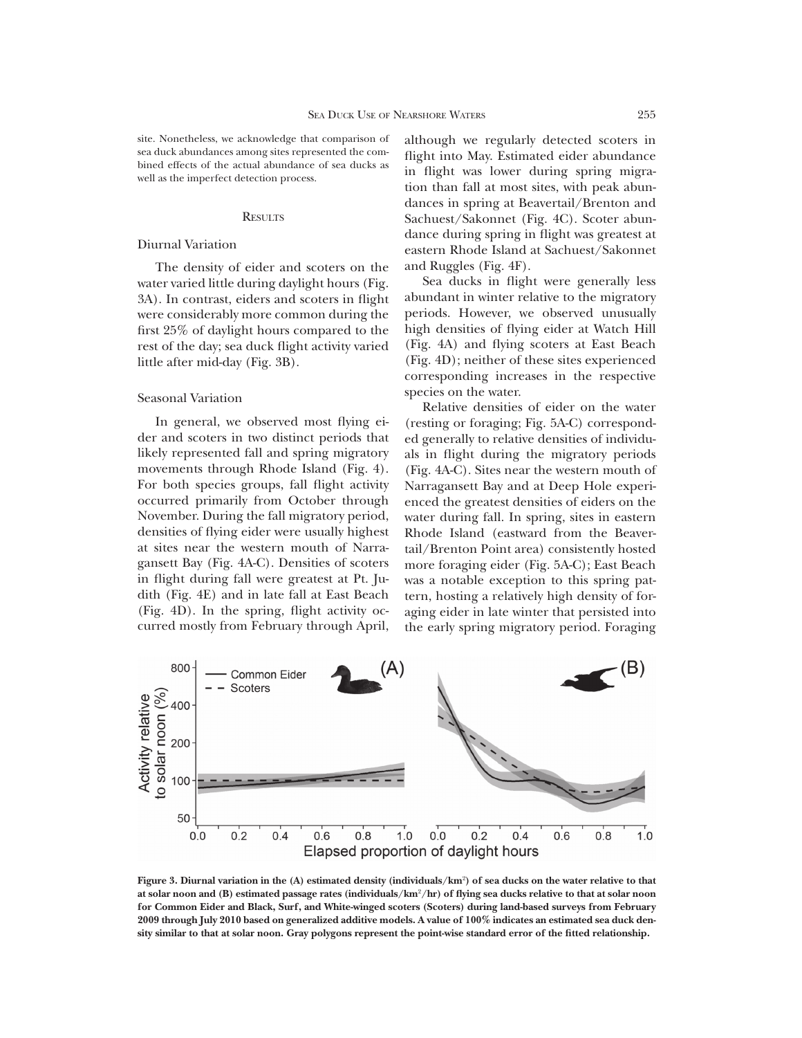site. Nonetheless, we acknowledge that comparison of sea duck abundances among sites represented the combined effects of the actual abundance of sea ducks as well as the imperfect detection process.

#### **RESULTS**

# Diurnal Variation

The density of eider and scoters on the water varied little during daylight hours (Fig. 3A). In contrast, eiders and scoters in flight were considerably more common during the first 25% of daylight hours compared to the rest of the day; sea duck flight activity varied little after mid-day (Fig. 3B).

# Seasonal Variation

In general, we observed most flying eider and scoters in two distinct periods that likely represented fall and spring migratory movements through Rhode Island (Fig. 4). For both species groups, fall flight activity occurred primarily from October through November. During the fall migratory period, densities of flying eider were usually highest at sites near the western mouth of Narragansett Bay (Fig. 4A-C). Densities of scoters in flight during fall were greatest at Pt. Judith (Fig. 4E) and in late fall at East Beach (Fig. 4D). In the spring, flight activity occurred mostly from February through April, although we regularly detected scoters in flight into May. Estimated eider abundance in flight was lower during spring migration than fall at most sites, with peak abundances in spring at Beavertail/Brenton and Sachuest/Sakonnet (Fig. 4C). Scoter abundance during spring in flight was greatest at eastern Rhode Island at Sachuest/Sakonnet and Ruggles (Fig. 4F).

Sea ducks in flight were generally less abundant in winter relative to the migratory periods. However, we observed unusually high densities of flying eider at Watch Hill (Fig. 4A) and flying scoters at East Beach (Fig. 4D); neither of these sites experienced corresponding increases in the respective species on the water.

Relative densities of eider on the water (resting or foraging; Fig. 5A-C) corresponded generally to relative densities of individuals in flight during the migratory periods (Fig. 4A-C). Sites near the western mouth of Narragansett Bay and at Deep Hole experienced the greatest densities of eiders on the water during fall. In spring, sites in eastern Rhode Island (eastward from the Beavertail/Brenton Point area) consistently hosted more foraging eider (Fig. 5A-C); East Beach was a notable exception to this spring pattern, hosting a relatively high density of foraging eider in late winter that persisted into the early spring migratory period. Foraging



**Figure 3. Diurnal variation in the (A) estimated density (individuals/km**<sup>2</sup> **) of sea ducks on the water relative to that at solar noon and (B) estimated passage rates (individuals/km**<sup>2</sup>**/hr) of flying sea ducks relative to that at solar noon for Common Eider and Black, Surf, and White-winged scoters (Scoters) during land-based surveys from February 2009 through July 2010 based on generalized additive models. A value of 100% indicates an estimated sea duck density similar to that at solar noon. Gray polygons represent the point-wise standard error of the fitted relationship.**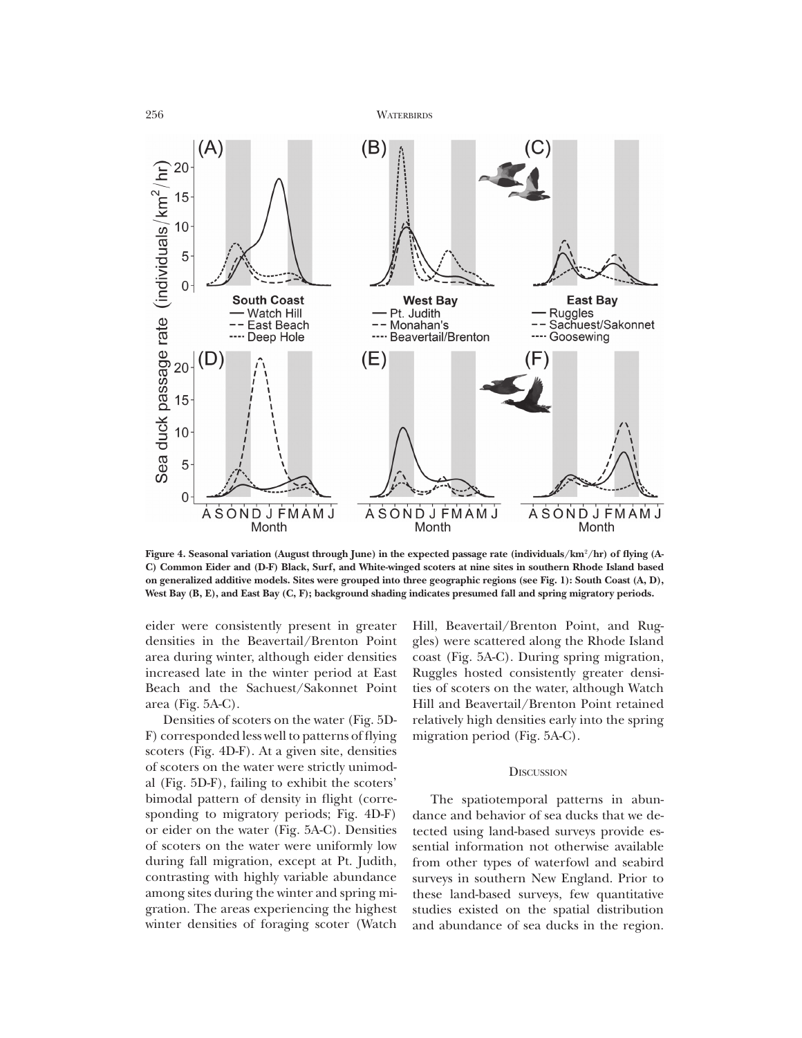

**Figure 4. Seasonal variation (August through June) in the expected passage rate (individuals/km**2**/hr) of flying (A-C) Common Eider and (D-F) Black, Surf, and White-winged scoters at nine sites in southern Rhode Island based on generalized additive models. Sites were grouped into three geographic regions (see Fig. 1): South Coast (A, D), West Bay (B, E), and East Bay (C, F); background shading indicates presumed fall and spring migratory periods.**

eider were consistently present in greater densities in the Beavertail/Brenton Point area during winter, although eider densities increased late in the winter period at East Beach and the Sachuest/Sakonnet Point area (Fig. 5A-C).

Densities of scoters on the water (Fig. 5D-F) corresponded less well to patterns of flying scoters (Fig. 4D-F). At a given site, densities of scoters on the water were strictly unimodal (Fig. 5D-F), failing to exhibit the scoters' bimodal pattern of density in flight (corresponding to migratory periods; Fig. 4D-F) or eider on the water (Fig. 5A-C). Densities of scoters on the water were uniformly low during fall migration, except at Pt. Judith, contrasting with highly variable abundance among sites during the winter and spring migration. The areas experiencing the highest winter densities of foraging scoter (Watch Hill, Beavertail/Brenton Point, and Ruggles) were scattered along the Rhode Island coast (Fig. 5A-C). During spring migration, Ruggles hosted consistently greater densities of scoters on the water, although Watch Hill and Beavertail/Brenton Point retained relatively high densities early into the spring migration period (Fig. 5A-C).

## **DISCUSSION**

The spatiotemporal patterns in abundance and behavior of sea ducks that we detected using land-based surveys provide essential information not otherwise available from other types of waterfowl and seabird surveys in southern New England. Prior to these land-based surveys, few quantitative studies existed on the spatial distribution and abundance of sea ducks in the region.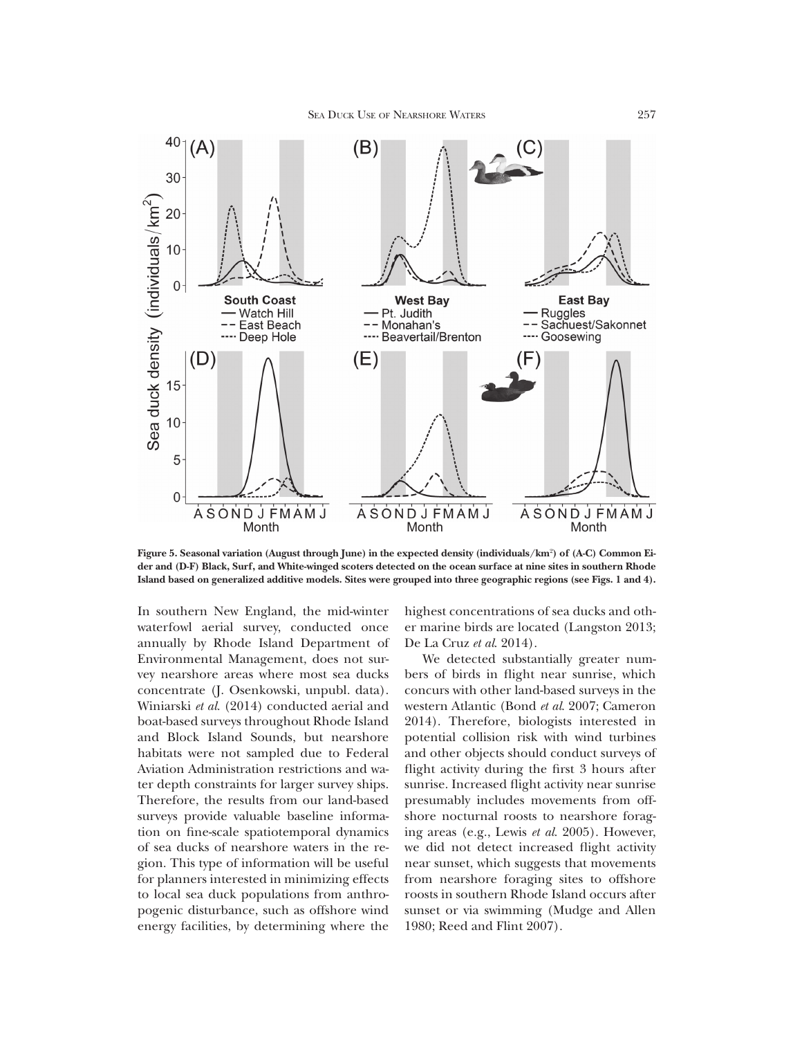

**Figure 5. Seasonal variation (August through June) in the expected density (individuals/km**<sup>2</sup> **) of (A-C) Common Eider and (D-F) Black, Surf, and White-winged scoters detected on the ocean surface at nine sites in southern Rhode Island based on generalized additive models. Sites were grouped into three geographic regions (see Figs. 1 and 4).**

In southern New England, the mid-winter waterfowl aerial survey, conducted once annually by Rhode Island Department of Environmental Management, does not survey nearshore areas where most sea ducks concentrate (J. Osenkowski, unpubl. data). Winiarski *et al*. (2014) conducted aerial and boat-based surveys throughout Rhode Island and Block Island Sounds, but nearshore habitats were not sampled due to Federal Aviation Administration restrictions and water depth constraints for larger survey ships. Therefore, the results from our land-based surveys provide valuable baseline information on fine-scale spatiotemporal dynamics of sea ducks of nearshore waters in the region. This type of information will be useful for planners interested in minimizing effects to local sea duck populations from anthropogenic disturbance, such as offshore wind energy facilities, by determining where the

highest concentrations of sea ducks and other marine birds are located (Langston 2013; De La Cruz *et al*. 2014).

We detected substantially greater numbers of birds in flight near sunrise, which concurs with other land-based surveys in the western Atlantic (Bond *et al*. 2007; Cameron 2014). Therefore, biologists interested in potential collision risk with wind turbines and other objects should conduct surveys of flight activity during the first 3 hours after sunrise. Increased flight activity near sunrise presumably includes movements from offshore nocturnal roosts to nearshore foraging areas (e.g., Lewis *et al*. 2005). However, we did not detect increased flight activity near sunset, which suggests that movements from nearshore foraging sites to offshore roosts in southern Rhode Island occurs after sunset or via swimming (Mudge and Allen 1980; Reed and Flint 2007).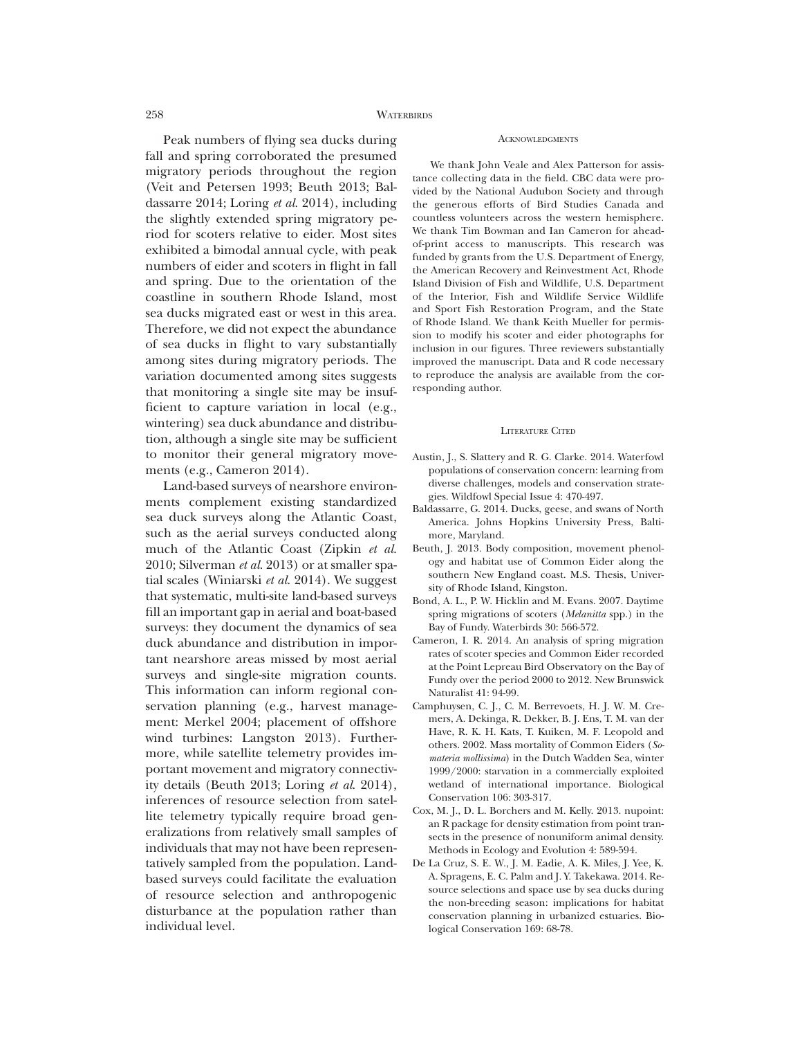# **ACKNOWLEDGMENTS**

Peak numbers of flying sea ducks during fall and spring corroborated the presumed migratory periods throughout the region (Veit and Petersen 1993; Beuth 2013; Baldassarre 2014; Loring *et al*. 2014), including the slightly extended spring migratory period for scoters relative to eider. Most sites exhibited a bimodal annual cycle, with peak numbers of eider and scoters in flight in fall and spring. Due to the orientation of the coastline in southern Rhode Island, most sea ducks migrated east or west in this area. Therefore, we did not expect the abundance of sea ducks in flight to vary substantially among sites during migratory periods. The variation documented among sites suggests that monitoring a single site may be insufficient to capture variation in local (e.g., wintering) sea duck abundance and distribution, although a single site may be sufficient to monitor their general migratory movements (e.g., Cameron 2014).

Land-based surveys of nearshore environments complement existing standardized sea duck surveys along the Atlantic Coast, such as the aerial surveys conducted along much of the Atlantic Coast (Zipkin *et al*. 2010; Silverman *et al*. 2013) or at smaller spatial scales (Winiarski *et al*. 2014). We suggest that systematic, multi-site land-based surveys fill an important gap in aerial and boat-based surveys: they document the dynamics of sea duck abundance and distribution in important nearshore areas missed by most aerial surveys and single-site migration counts. This information can inform regional conservation planning (e.g., harvest management: Merkel 2004; placement of offshore wind turbines: Langston 2013). Furthermore, while satellite telemetry provides important movement and migratory connectivity details (Beuth 2013; Loring *et al*. 2014), inferences of resource selection from satellite telemetry typically require broad generalizations from relatively small samples of individuals that may not have been representatively sampled from the population. Landbased surveys could facilitate the evaluation of resource selection and anthropogenic disturbance at the population rather than individual level.

We thank John Veale and Alex Patterson for assistance collecting data in the field. CBC data were provided by the National Audubon Society and through the generous efforts of Bird Studies Canada and countless volunteers across the western hemisphere. We thank Tim Bowman and Ian Cameron for aheadof-print access to manuscripts. This research was funded by grants from the U.S. Department of Energy, the American Recovery and Reinvestment Act, Rhode Island Division of Fish and Wildlife, U.S. Department of the Interior, Fish and Wildlife Service Wildlife and Sport Fish Restoration Program, and the State of Rhode Island. We thank Keith Mueller for permission to modify his scoter and eider photographs for inclusion in our figures. Three reviewers substantially improved the manuscript. Data and R code necessary to reproduce the analysis are available from the corresponding author.

#### LITERATURE CITED

- Austin, J., S. Slattery and R. G. Clarke. 2014. Waterfowl populations of conservation concern: learning from diverse challenges, models and conservation strategies. Wildfowl Special Issue 4: 470-497.
- Baldassarre, G. 2014. Ducks, geese, and swans of North America. Johns Hopkins University Press, Baltimore, Maryland.
- Beuth, J. 2013. Body composition, movement phenology and habitat use of Common Eider along the southern New England coast. M.S. Thesis, University of Rhode Island, Kingston.
- Bond, A. L., P. W. Hicklin and M. Evans. 2007. Daytime spring migrations of scoters (*Melanitta* spp.) in the Bay of Fundy. Waterbirds 30: 566-572.
- Cameron, I. R. 2014. An analysis of spring migration rates of scoter species and Common Eider recorded at the Point Lepreau Bird Observatory on the Bay of Fundy over the period 2000 to 2012. New Brunswick Naturalist 41: 94-99.
- Camphuysen, C. J., C. M. Berrevoets, H. J. W. M. Cremers, A. Dekinga, R. Dekker, B. J. Ens, T. M. van der Have, R. K. H. Kats, T. Kuiken, M. F. Leopold and others. 2002. Mass mortality of Common Eiders (*Somateria mollissima*) in the Dutch Wadden Sea, winter 1999/2000: starvation in a commercially exploited wetland of international importance. Biological Conservation 106: 303-317.
- Cox, M. J., D. L. Borchers and M. Kelly. 2013. nupoint: an R package for density estimation from point transects in the presence of nonuniform animal density. Methods in Ecology and Evolution 4: 589-594.
- De La Cruz, S. E. W., J. M. Eadie, A. K. Miles, J. Yee, K. A. Spragens, E. C. Palm and J. Y. Takekawa. 2014. Resource selections and space use by sea ducks during the non-breeding season: implications for habitat conservation planning in urbanized estuaries. Biological Conservation 169: 68-78.